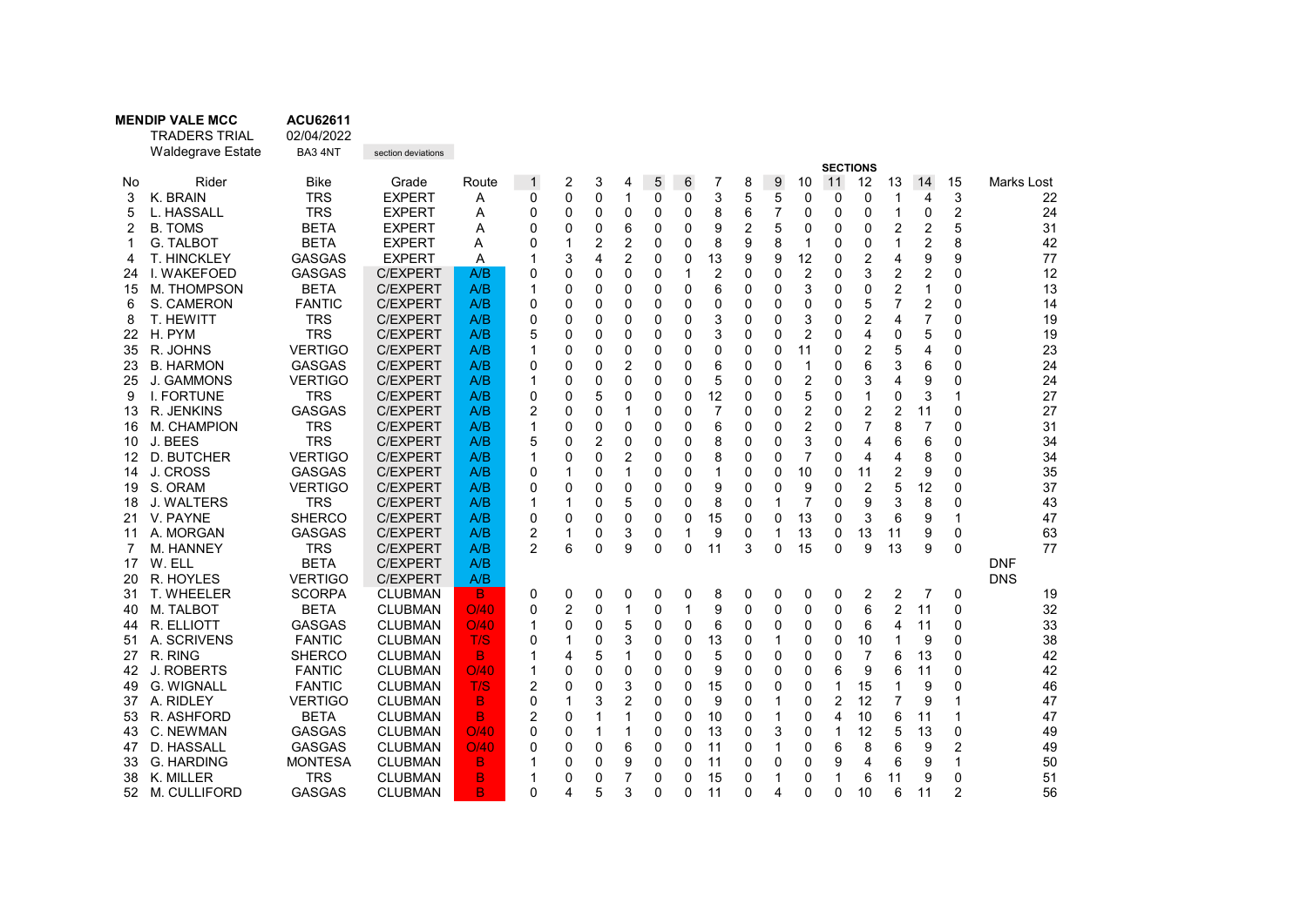|          | <b>MENDIP VALE MCC</b>          | <b>ACU62611</b>                 |                                    |            |                     |              |        |                         |        |               |                      |                |        |                |                |                         |              |                |                            |                  |
|----------|---------------------------------|---------------------------------|------------------------------------|------------|---------------------|--------------|--------|-------------------------|--------|---------------|----------------------|----------------|--------|----------------|----------------|-------------------------|--------------|----------------|----------------------------|------------------|
|          | <b>TRADERS TRIAL</b>            | 02/04/2022                      |                                    |            |                     |              |        |                         |        |               |                      |                |        |                |                |                         |              |                |                            |                  |
|          | <b>Waldegrave Estate</b>        | BA3 4NT                         | section deviations                 |            |                     |              |        |                         |        |               |                      |                |        |                |                |                         |              |                |                            |                  |
|          |                                 |                                 |                                    |            |                     |              |        |                         |        |               |                      |                |        |                |                | <b>SECTIONS</b>         |              |                |                            |                  |
| No       | Rider                           | <b>Bike</b>                     | Grade                              | Route      | $\mathbf{1}$        | 2            | 3      | 4                       | 5      | 6             | 7                    | 8              | 9      | 10             | 11             | 12                      | 13           | 14             | 15                         | Marks Lost       |
| 3        | K. BRAIN                        | <b>TRS</b>                      | <b>EXPERT</b>                      | Α          | 0                   | 0            | 0      | $\mathbf{1}$            | 0      | 0             | 3                    | 5              | 5      | 0              | 0              | 0                       | 1            | 4              | 3                          | 22               |
| 5        | L. HASSALL                      | <b>TRS</b>                      | <b>EXPERT</b>                      | A          | 0                   | 0            | 0      | $\mathbf 0$             | 0      | $\Omega$      | 8                    | 6              | 7      | 0              | 0              | 0                       | $\mathbf{1}$ | 0              | $\overline{2}$             | 24               |
| 2        | <b>B. TOMS</b>                  | <b>BETA</b>                     | <b>EXPERT</b>                      | A          | $\mathbf{0}$        | 0            | 0      | 6                       | 0      | 0             | 9                    | $\overline{2}$ | 5      | 0              | 0              | 0                       | 2            | 2              | 5                          | 31               |
|          | <b>G. TALBOT</b>                | <b>BETA</b>                     | <b>EXPERT</b>                      | A          | 0                   | 1            | 2      | $\overline{\mathbf{c}}$ | 0      | 0             | 8                    | 9              | 8      | 1              | 0              | 0                       | 1            | 2              | 8                          | 42               |
| 4        | T. HINCKLEY                     | <b>GASGAS</b>                   | <b>EXPERT</b>                      | Α          | 1                   | 3            | 4      | $\overline{2}$          | 0      | $\mathbf 0$   | 13                   | 9              | 9      | 12             | 0              | 2                       | 4            | 9              | 9                          | 77               |
| 24       | I. WAKEFOED                     | <b>GASGAS</b>                   | <b>C/EXPERT</b>                    | A/B        | 0                   | 0            | 0      | 0                       | 0      | 1             | 2                    | 0              | 0      | 2              | 0              | 3                       | 2            | 2              | 0                          | 12               |
| 15       | M. THOMPSON                     | <b>BETA</b>                     | <b>C/EXPERT</b>                    | A/B        | 1                   | 0            | 0      | 0                       | 0      | 0             | 6                    | 0              | 0      | 3              | $\mathbf{0}$   | 0                       | 2            | 1              | $\Omega$                   | 13               |
| 6        | S. CAMERON                      | <b>FANTIC</b>                   | <b>C/EXPERT</b>                    | A/B        | 0                   | 0            | 0      | 0                       | 0      | 0             | 0                    | 0              | 0      | 0              | 0              | 5                       | 7            | 2              | 0                          | 14               |
| 8        | T. HEWITT                       | <b>TRS</b>                      | <b>C/EXPERT</b>                    | A/B        | $\Omega$            | 0            | 0      | 0                       | 0      | 0             | 3                    | 0              | 0      | 3              | $\mathbf{0}$   | 2                       | 4            | 7              | 0                          | 19               |
| 22       | H. PYM                          | <b>TRS</b>                      | <b>C/EXPERT</b>                    | A/B        | 5                   | 0            | 0      | 0                       | 0      | $\Omega$      | 3                    | 0              | 0      | $\overline{2}$ | $\mathbf{0}$   | 4                       | 0            | 5              | $\Omega$                   | 19               |
| 35       | R. JOHNS                        | <b>VERTIGO</b>                  | C/EXPERT                           | A/B        | 1                   | 0            | 0      | 0                       | 0      | 0             | 0                    | 0              | 0      | 11             | 0              | $\overline{\mathbf{c}}$ | 5            | 4              | 0                          | 23               |
| 23       | <b>B. HARMON</b>                | <b>GASGAS</b>                   | C/EXPERT                           | A/B        | 0                   | 0            | 0      | 2                       | 0      | 0             | 6                    | 0              | 0      | 1              | 0              | 6                       | 3            | 6              | 0                          | 24               |
| 25       | J. GAMMONS<br><b>I. FORTUNE</b> | <b>VERTIGO</b>                  | <b>C/EXPERT</b>                    | A/B        | 1                   | 0            | 0      | $\Omega$                | 0      | $\Omega$      | 5                    | 0              | 0      | $\overline{2}$ | 0              | 3<br>$\mathbf{1}$       | 4            | 9              | $\Omega$<br>$\overline{1}$ | 24               |
| 9        |                                 | <b>TRS</b>                      | <b>C/EXPERT</b>                    | A/B        | 0                   | 0            | 5      | 0                       | 0      | $\mathbf 0$   | 12<br>$\overline{7}$ | 0              | 0      | 5              | 0              |                         | 0            | 3              |                            | 27               |
| 13       | R. JENKINS                      | <b>GASGAS</b>                   | <b>C/EXPERT</b>                    | A/B        | 2                   | 0<br>0       | 0      | 1                       | 0      | 0             | 6                    | 0              | 0<br>0 | 2              | 0<br>0         | 2<br>7                  | 2<br>8       | 11<br>7        | 0<br>$\Omega$              | 27               |
| 16       | M. CHAMPION                     | <b>TRS</b><br><b>TRS</b>        | <b>C/EXPERT</b>                    | A/B<br>A/B | 1                   |              | 0      | 0                       | 0      | 0             |                      | 0              |        | $\overline{2}$ | 0              |                         |              |                |                            | 31               |
| 10       | J. BEES                         | <b>VERTIGO</b>                  | <b>C/EXPERT</b>                    |            | 5<br>1              | 0            | 2      | 0                       | 0      | $\mathbf 0$   | 8                    | 0              | 0      | 3              |                | 4                       | 6            | 6              | 0                          | 34               |
| 12       | D. BUTCHER                      |                                 | <b>C/EXPERT</b>                    | A/B        |                     | 0            | 0      | 2                       | 0      | 0             | 8<br>1               | 0              | 0      | $\overline{7}$ | 0              | 4                       | 4            | 8              | 0                          | 34               |
| 14<br>19 | J. CROSS                        | <b>GASGAS</b>                   | <b>C/EXPERT</b>                    | A/B        | 0                   | 1<br>0       | 0<br>0 | 1                       | 0<br>0 | 0<br>$\Omega$ | 9                    | 0              | 0<br>0 | 10             | 0<br>0         | 11<br>$\overline{2}$    | 2<br>5       | 9<br>12        | 0                          | 35               |
|          | S. ORAM                         | <b>VERTIGO</b>                  | <b>C/EXPERT</b>                    | A/B        | 0                   |              |        | 0                       |        |               |                      | 0              |        | 9              |                |                         |              |                | 0                          | 37               |
| 18       | <b>J. WALTERS</b>               | <b>TRS</b>                      | <b>C/EXPERT</b>                    | A/B        | 1                   | 1            | 0      | 5                       | 0      | 0             | 8                    | 0              | 1      | $\overline{7}$ | 0              | 9                       | 3            | 8              | 0<br>$\overline{1}$        | 43               |
| 21       | V. PAYNE                        | <b>SHERCO</b><br><b>GASGAS</b>  | <b>C/EXPERT</b>                    | A/B        | 0                   | 0<br>1       | 0      | 0                       | 0      | 0<br>1        | 15<br>9              | 0<br>0         | 0<br>1 | 13<br>13       | 0<br>0         | 3<br>13                 | 6            | 9              |                            | 47<br>63         |
| 11<br>7  | A. MORGAN<br><b>M. HANNEY</b>   | <b>TRS</b>                      | <b>C/EXPERT</b><br><b>C/EXPERT</b> | A/B<br>A/B | 2<br>$\overline{2}$ | 6            | 0<br>0 | 3<br>9                  | 0<br>0 | 0             | 11                   | 3              | 0      | 15             | 0              | 9                       | 11<br>13     | 9<br>9         | 0<br>$\Omega$              | 77               |
|          |                                 |                                 |                                    |            |                     |              |        |                         |        |               |                      |                |        |                |                |                         |              |                |                            | <b>DNF</b>       |
| 17       | W. ELL                          | <b>BETA</b>                     | <b>C/EXPERT</b>                    | A/B        |                     |              |        |                         |        |               |                      |                |        |                |                |                         |              |                |                            |                  |
| 20       | R. HOYLES<br>T. WHEELER         | <b>VERTIGO</b><br><b>SCORPA</b> | <b>C/EXPERT</b><br><b>CLUBMAN</b>  | A/B<br>B   | 0                   | 0            | 0      |                         | 0      |               | 8                    |                | 0      | 0              | 0              |                         | 2            | $\overline{7}$ | 0                          | <b>DNS</b><br>19 |
| 31<br>40 | M. TALBOT                       | <b>BETA</b>                     | <b>CLUBMAN</b>                     | O/40       | 0                   | 2            | 0      | 0<br>$\mathbf{1}$       | 0      | 0<br>1        | 9                    | 0<br>0         | 0      | 0              | 0              | 2<br>6                  | 2            | 11             | 0                          | 32               |
|          | R. ELLIOTT                      | <b>GASGAS</b>                   | <b>CLUBMAN</b>                     | O/40       | 1                   | 0            | 0      | 5                       | 0      | 0             | 6                    | 0              | 0      |                | 0              | 6                       | 4            | 11             | 0                          | 33               |
| 44       | A. SCRIVENS                     | <b>FANTIC</b>                   | <b>CLUBMAN</b>                     | T/S        | 0                   | 1            | 0      | 3                       | 0      | $\Omega$      | 13                   | 0              | 1      | 0<br>0         | 0              | 10                      | 1            | 9              | 0                          | 38               |
| 51<br>27 | R. RING                         | <b>SHERCO</b>                   | <b>CLUBMAN</b>                     | B          | 1                   | 4            | 5      | $\mathbf{1}$            | 0      | $\mathbf 0$   | 5                    | 0              | 0      | 0              | 0              | $\overline{7}$          | 6            | 13             | $\mathbf 0$                | 42               |
| 42       | <b>J. ROBERTS</b>               | <b>FANTIC</b>                   | <b>CLUBMAN</b>                     | O/40       | 1                   | 0            | 0      | 0                       | 0      | 0             | 9                    | 0              | 0      | 0              | 6              | 9                       | 6            | 11             | $\mathbf 0$                | 42               |
|          | <b>G. WIGNALL</b>               | <b>FANTIC</b>                   | <b>CLUBMAN</b>                     | T/S        | $\overline{2}$      | 0            | 0      |                         |        | 0             |                      |                |        |                | 1              | 15                      | 1            | 9              |                            | 46               |
| 49       | A. RIDLEY                       | <b>VERTIGO</b>                  | <b>CLUBMAN</b>                     | B          | 0                   | $\mathbf{1}$ | 3      | 3<br>$\overline{2}$     | 0<br>0 | $\mathbf 0$   | 15<br>9              | 0<br>0         | 0<br>1 | 0<br>0         | $\overline{2}$ | 12                      | 7            | 9              | 0<br>$\overline{1}$        | 47               |
| 37       |                                 | <b>BETA</b>                     |                                    | B          | $\overline{2}$      |              |        | $\mathbf{1}$            |        |               |                      | 0              |        |                | 4              | 10                      |              | 11             | $\overline{1}$             |                  |
| 53       | R. ASHFORD<br>C. NEWMAN         | <b>GASGAS</b>                   | <b>CLUBMAN</b><br><b>CLUBMAN</b>   | O/40       | 0                   | 0<br>0       |        | $\mathbf 1$             | 0<br>0 | 0<br>0        | 10<br>13             | 0              | 1      | 0              | 1              | 12                      | 6<br>5       | 13             | 0                          | 47<br>49         |
| 43       | D. HASSALL                      | <b>GASGAS</b>                   |                                    | O/40       |                     |              | 1      |                         |        |               |                      |                | 3      | 0              |                | 8                       |              |                |                            |                  |
| 47       | <b>G. HARDING</b>               | MONTESA                         | <b>CLUBMAN</b><br><b>CLUBMAN</b>   | B          | 0                   | 0<br>0       | 0<br>0 | 6<br>9                  | 0<br>0 | 0<br>$\Omega$ | 11<br>11             | 0<br>0         | 1<br>0 | 0              | 6<br>9         | 4                       | 6<br>6       | 9<br>9         | 2<br>$\overline{1}$        | 49<br>50         |
| 33       | K. MILLER                       | <b>TRS</b>                      | <b>CLUBMAN</b>                     | B          |                     | 0            | 0      | 7                       | 0      | 0             | 15                   | 0              | 1      | 0<br>0         | 1              | 6                       | 11           | 9              | $\mathbf 0$                | 51               |
| 38       |                                 | <b>GASGAS</b>                   |                                    | B          | 0                   | 4            | 5      | 3                       | 0      | 0             | 11                   | 0              | 4      | 0              | 0              | 10                      | 6            | 11             | $\overline{2}$             | 56               |
| 52       | <b>M. CULLIFORD</b>             |                                 | CLUBMAN                            |            |                     |              |        |                         |        |               |                      |                |        |                |                |                         |              |                |                            |                  |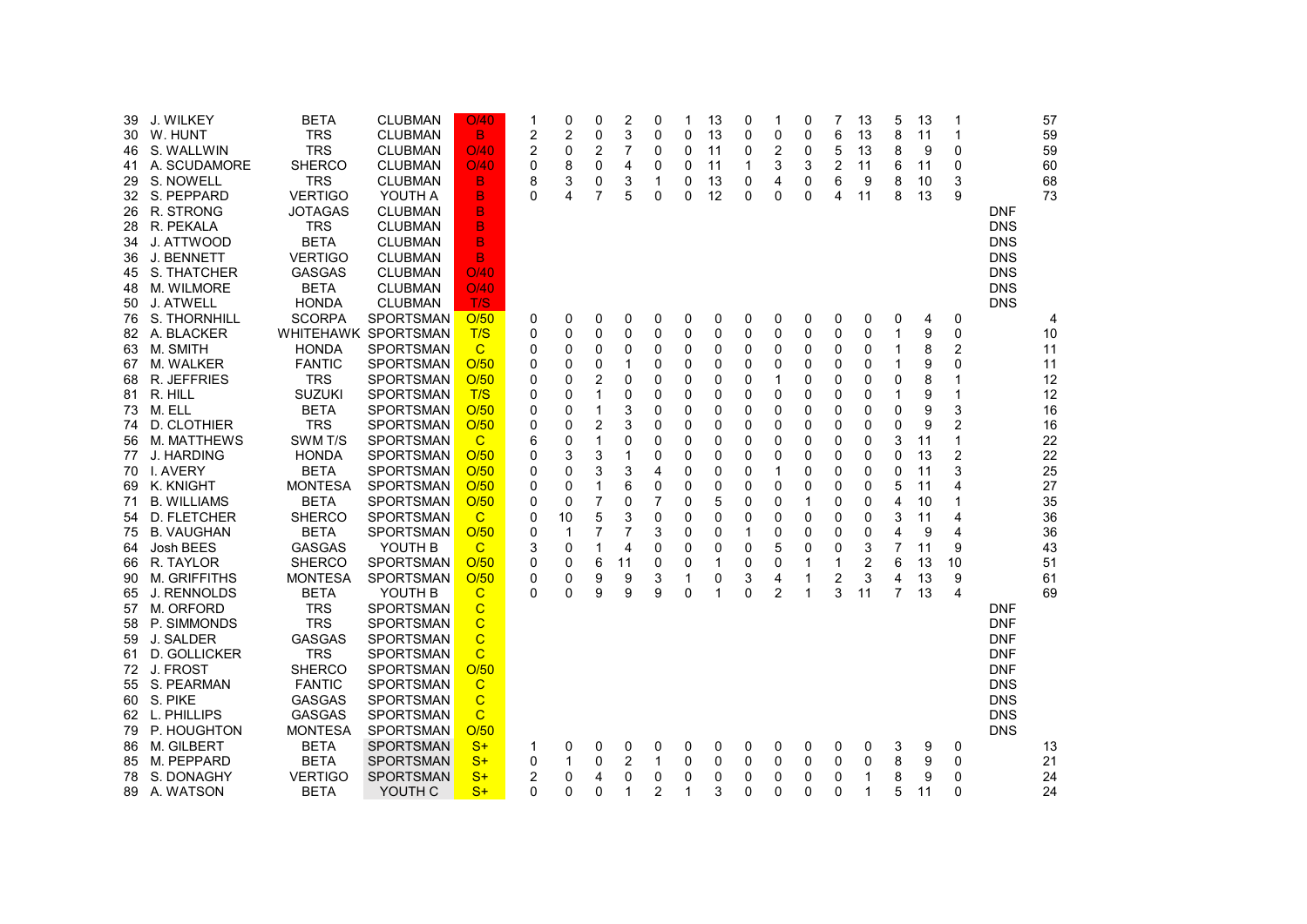| 39<br>30<br>46<br>41<br>29<br>32<br>26<br>28<br>34<br>36<br>45<br>48 | J. WILKEY<br>W. HUNT<br>S. WALLWIN<br>A. SCUDAMORE<br>S. NOWELL<br>S. PEPPARD<br>R. STRONG<br>R. PEKALA<br>J. ATTWOOD<br>J. BENNETT<br>S. THATCHER<br>M. WILMORE | <b>BETA</b><br><b>TRS</b><br><b>TRS</b><br><b>SHERCO</b><br><b>TRS</b><br><b>VERTIGO</b><br>JOTAGAS<br><b>TRS</b><br><b>BETA</b><br><b>VERTIGO</b><br>GASGAS<br><b>BETA</b> | <b>CLUBMAN</b><br><b>CLUBMAN</b><br><b>CLUBMAN</b><br><b>CLUBMAN</b><br><b>CLUBMAN</b><br>YOUTH A<br>CLUBMAN<br><b>CLUBMAN</b><br><b>CLUBMAN</b><br><b>CLUBMAN</b><br><b>CLUBMAN</b><br><b>CLUBMAN</b> | O/40<br>B.<br>O/40<br>O/40<br>B.<br>B<br>B<br>B<br>B<br>B<br>O/40<br>O/40 | 1<br>2<br>$\overline{2}$<br>0<br>8<br>0 | 0<br>$\overline{2}$<br>0<br>8<br>3<br>4 | $\Omega$<br>0<br>2<br>0<br>0<br>7 | 2<br>3<br>7<br>4<br>3<br>5 | 0<br>0<br>0<br>0<br>1<br>0 | 1<br>0<br>0<br>0<br>0<br>0 | 13<br>13<br>11<br>11<br>13<br>12 | 0<br>0<br>0<br>1<br>0<br>0 | 1<br>0<br>2<br>3<br>4<br>0 | 0<br>0<br>0<br>3<br>0<br>0 | 7<br>6<br>5<br>$\overline{2}$<br>6<br>4 | 13<br>13<br>13<br>11<br>9<br>11 | 5<br>8<br>8<br>6<br>8<br>8 | 13<br>11<br>9<br>11<br>10<br>13 | 1<br>0<br>0<br>3<br>9 | <b>DNF</b><br><b>DNS</b><br><b>DNS</b><br><b>DNS</b><br><b>DNS</b><br><b>DNS</b> | 57<br>59<br>59<br>60<br>68<br>73 |
|----------------------------------------------------------------------|------------------------------------------------------------------------------------------------------------------------------------------------------------------|-----------------------------------------------------------------------------------------------------------------------------------------------------------------------------|--------------------------------------------------------------------------------------------------------------------------------------------------------------------------------------------------------|---------------------------------------------------------------------------|-----------------------------------------|-----------------------------------------|-----------------------------------|----------------------------|----------------------------|----------------------------|----------------------------------|----------------------------|----------------------------|----------------------------|-----------------------------------------|---------------------------------|----------------------------|---------------------------------|-----------------------|----------------------------------------------------------------------------------|----------------------------------|
| 50<br>76                                                             | <b>J. ATWELL</b><br>S. THORNHILL                                                                                                                                 | <b>HONDA</b><br><b>SCORPA</b>                                                                                                                                               | <b>CLUBMAN</b><br><b>SPORTSMAN</b>                                                                                                                                                                     | T/S<br>O/50                                                               | 0                                       | 0                                       | 0                                 | 0                          | 0                          | 0                          | 0                                | 0                          | 0                          | 0                          | 0                                       | 0                               | 0                          | 4                               | 0                     | <b>DNS</b>                                                                       | 4                                |
| 82                                                                   | A. BLACKER                                                                                                                                                       |                                                                                                                                                                             | WHITEHAWK SPORTSMAN                                                                                                                                                                                    | T/S                                                                       | 0                                       | 0                                       | 0                                 | 0                          | 0                          | 0                          | 0                                | 0                          | 0                          | 0                          | 0                                       | 0                               | 1                          | 9                               | 0                     |                                                                                  | 10                               |
| 63                                                                   | M. SMITH                                                                                                                                                         | <b>HONDA</b>                                                                                                                                                                | <b>SPORTSMAN</b>                                                                                                                                                                                       | $\overline{C}$                                                            | 0                                       | 0                                       | 0                                 | 0                          | 0                          | 0                          | 0                                | 0                          | 0                          | 0                          | 0                                       | 0                               | $\mathbf 1$                | 8                               | 2                     |                                                                                  | 11                               |
| 67                                                                   | M. WALKER                                                                                                                                                        | <b>FANTIC</b>                                                                                                                                                               | <b>SPORTSMAN</b>                                                                                                                                                                                       | O/50                                                                      | 0                                       | 0                                       | 0                                 | 1                          | 0                          | 0                          | 0                                | 0                          | 0                          | 0                          | 0                                       | 0                               | 1                          | 9                               | 0                     |                                                                                  | 11                               |
| 68                                                                   | R. JEFFRIES                                                                                                                                                      | <b>TRS</b>                                                                                                                                                                  | <b>SPORTSMAN</b>                                                                                                                                                                                       | O/50                                                                      | 0                                       | 0                                       | 2                                 | 0                          | 0                          | 0                          | 0                                | 0                          | 1                          | 0                          | 0                                       | 0                               | 0                          | 8                               |                       |                                                                                  | 12                               |
| 81                                                                   | R. HILL                                                                                                                                                          | <b>SUZUKI</b>                                                                                                                                                               | <b>SPORTSMAN</b>                                                                                                                                                                                       | T/S                                                                       | 0                                       | 0                                       | 1                                 | 0                          | 0                          | 0                          | 0                                | 0                          | 0                          | 0                          | 0                                       | 0                               | 1                          | 9                               | 1                     |                                                                                  | 12                               |
| 73                                                                   | M. ELL                                                                                                                                                           | <b>BETA</b>                                                                                                                                                                 | <b>SPORTSMAN</b>                                                                                                                                                                                       | O/50                                                                      | 0                                       | 0                                       | 1                                 | 3                          | 0                          | 0                          | 0                                | 0                          | 0                          | 0                          | 0                                       | 0                               | 0                          | 9                               | 3                     |                                                                                  | 16                               |
| 74                                                                   | D. CLOTHIER                                                                                                                                                      | <b>TRS</b>                                                                                                                                                                  | <b>SPORTSMAN</b>                                                                                                                                                                                       | O/50                                                                      | 0                                       | 0                                       | $\overline{2}$                    | 3                          | 0                          | 0                          | 0                                | 0                          | 0                          | 0                          | 0                                       | 0                               | $\mathbf 0$                | 9                               | $\overline{c}$        |                                                                                  | 16                               |
| 56                                                                   | M. MATTHEWS                                                                                                                                                      | SWM T/S                                                                                                                                                                     | <b>SPORTSMAN</b>                                                                                                                                                                                       | $\overline{C}$                                                            | 6                                       | 0                                       | 1                                 | 0                          | 0                          | 0                          | 0                                | 0                          | 0                          | 0                          | 0                                       | 0                               | 3                          | 11                              | 1                     |                                                                                  | 22                               |
| 77                                                                   | <b>J. HARDING</b>                                                                                                                                                | <b>HONDA</b>                                                                                                                                                                | <b>SPORTSMAN</b>                                                                                                                                                                                       | O/50                                                                      | 0                                       | 3                                       | 3                                 | 1                          | 0                          | 0                          | 0                                | 0                          | 0                          | 0                          | 0                                       | 0                               | 0                          | 13                              | 2                     |                                                                                  | 22                               |
| 70                                                                   | I. AVERY                                                                                                                                                         | <b>BETA</b>                                                                                                                                                                 | SPORTSMAN                                                                                                                                                                                              | O/50                                                                      | 0                                       | 0                                       | 3                                 | 3                          | 4                          | 0                          | 0                                | 0                          | 1                          | 0                          | 0                                       | 0                               | $\mathbf 0$                | 11                              | 3                     |                                                                                  | 25                               |
| 69                                                                   | K. KNIGHT                                                                                                                                                        | <b>MONTESA</b>                                                                                                                                                              | <b>SPORTSMAN</b>                                                                                                                                                                                       | O/50                                                                      | 0                                       | 0                                       | 1                                 | 6                          | 0                          | 0                          | 0                                | 0                          | 0                          | 0                          | 0                                       | 0                               | 5                          | 11                              | 4                     |                                                                                  | 27                               |
| 71                                                                   | <b>B. WILLIAMS</b><br>D. FLETCHER                                                                                                                                | <b>BETA</b><br><b>SHERCO</b>                                                                                                                                                | <b>SPORTSMAN</b><br><b>SPORTSMAN</b>                                                                                                                                                                   | O/50                                                                      | 0                                       | 0<br>10                                 | $\overline{7}$<br>5               | 0                          | 7                          | 0                          | 5                                | 0                          | 0                          | 1                          | 0                                       | 0                               | 4                          | 10<br>11                        |                       |                                                                                  | 35                               |
| 54<br>75                                                             | <b>B. VAUGHAN</b>                                                                                                                                                | <b>BETA</b>                                                                                                                                                                 | <b>SPORTSMAN</b>                                                                                                                                                                                       | C<br>O/50                                                                 | 0<br>0                                  | 1                                       | $\overline{7}$                    | 3<br>7                     | 0<br>3                     | 0<br>0                     | 0<br>0                           | 0<br>$\overline{1}$        | 0<br>0                     | 0<br>0                     | 0<br>0                                  | 0<br>0                          | 3<br>4                     | 9                               | 4<br>4                |                                                                                  | 36<br>36                         |
| 64                                                                   | Josh BEES                                                                                                                                                        | <b>GASGAS</b>                                                                                                                                                               | YOUTH B                                                                                                                                                                                                | $\mathsf{C}$                                                              | 3                                       | 0                                       | 1                                 | 4                          | 0                          | 0                          | 0                                | 0                          | 5                          | 0                          | 0                                       | 3                               | $\overline{7}$             | 11                              | 9                     |                                                                                  | 43                               |
| 66                                                                   | R. TAYLOR                                                                                                                                                        | <b>SHERCO</b>                                                                                                                                                               | <b>SPORTSMAN</b>                                                                                                                                                                                       | O/50                                                                      | 0                                       | 0                                       | 6                                 | 11                         | 0                          | 0                          | 1                                | 0                          | 0                          | 1                          | 1                                       | 2                               | 6                          | 13                              | 10                    |                                                                                  | 51                               |
| 90                                                                   | M. GRIFFITHS                                                                                                                                                     | <b>MONTESA</b>                                                                                                                                                              | <b>SPORTSMAN</b>                                                                                                                                                                                       | O/50                                                                      | 0                                       | 0                                       | 9                                 | 9                          | 3                          | 1                          | 0                                | 3                          | 4                          | $\mathbf{1}$               | 2                                       | 3                               | $\overline{4}$             | 13                              | 9                     |                                                                                  | 61                               |
| 65                                                                   | <b>J. RENNOLDS</b>                                                                                                                                               | <b>BETA</b>                                                                                                                                                                 | YOUTH B                                                                                                                                                                                                | $\mathsf{C}$                                                              | $\Omega$                                | 0                                       | 9                                 | 9                          | 9                          | 0                          | 1                                | 0                          | 2                          | 1                          | 3                                       | 11                              | 7                          | 13                              | 4                     |                                                                                  | 69                               |
| 57                                                                   | M. ORFORD                                                                                                                                                        | <b>TRS</b>                                                                                                                                                                  | <b>SPORTSMAN</b>                                                                                                                                                                                       | $\mathbf C$                                                               |                                         |                                         |                                   |                            |                            |                            |                                  |                            |                            |                            |                                         |                                 |                            |                                 |                       | <b>DNF</b>                                                                       |                                  |
| 58                                                                   | P. SIMMONDS                                                                                                                                                      | <b>TRS</b>                                                                                                                                                                  | <b>SPORTSMAN</b>                                                                                                                                                                                       | $\mathbf C$                                                               |                                         |                                         |                                   |                            |                            |                            |                                  |                            |                            |                            |                                         |                                 |                            |                                 |                       | <b>DNF</b>                                                                       |                                  |
| 59                                                                   | J. SALDER                                                                                                                                                        | <b>GASGAS</b>                                                                                                                                                               | <b>SPORTSMAN</b>                                                                                                                                                                                       | $\mathbf C$                                                               |                                         |                                         |                                   |                            |                            |                            |                                  |                            |                            |                            |                                         |                                 |                            |                                 |                       | <b>DNF</b>                                                                       |                                  |
| 61                                                                   | D. GOLLICKER                                                                                                                                                     | <b>TRS</b>                                                                                                                                                                  | <b>SPORTSMAN</b>                                                                                                                                                                                       | $\mathbf C$                                                               |                                         |                                         |                                   |                            |                            |                            |                                  |                            |                            |                            |                                         |                                 |                            |                                 |                       | <b>DNF</b>                                                                       |                                  |
| 72                                                                   | J. FROST                                                                                                                                                         | <b>SHERCO</b>                                                                                                                                                               | <b>SPORTSMAN</b>                                                                                                                                                                                       | O/50                                                                      |                                         |                                         |                                   |                            |                            |                            |                                  |                            |                            |                            |                                         |                                 |                            |                                 |                       | <b>DNF</b>                                                                       |                                  |
| 55                                                                   | S. PEARMAN                                                                                                                                                       | <b>FANTIC</b>                                                                                                                                                               | <b>SPORTSMAN</b>                                                                                                                                                                                       | $\mathbf C$                                                               |                                         |                                         |                                   |                            |                            |                            |                                  |                            |                            |                            |                                         |                                 |                            |                                 |                       | <b>DNS</b>                                                                       |                                  |
| 60                                                                   | S. PIKE                                                                                                                                                          | GASGAS                                                                                                                                                                      | <b>SPORTSMAN</b>                                                                                                                                                                                       | $\mathbf C$                                                               |                                         |                                         |                                   |                            |                            |                            |                                  |                            |                            |                            |                                         |                                 |                            |                                 |                       | <b>DNS</b>                                                                       |                                  |
| 62                                                                   | L. PHILLIPS                                                                                                                                                      | GASGAS                                                                                                                                                                      | <b>SPORTSMAN</b>                                                                                                                                                                                       | $\mathsf{C}$                                                              |                                         |                                         |                                   |                            |                            |                            |                                  |                            |                            |                            |                                         |                                 |                            |                                 |                       | <b>DNS</b>                                                                       |                                  |
| 79                                                                   | P. HOUGHTON                                                                                                                                                      | <b>MONTESA</b>                                                                                                                                                              | <b>SPORTSMAN</b>                                                                                                                                                                                       | O/50                                                                      |                                         |                                         |                                   |                            |                            |                            |                                  |                            |                            |                            |                                         |                                 |                            |                                 |                       | <b>DNS</b>                                                                       |                                  |
| 86                                                                   | M. GILBERT                                                                                                                                                       | <b>BETA</b>                                                                                                                                                                 | <b>SPORTSMAN</b>                                                                                                                                                                                       | $S+$                                                                      | 1                                       | 0                                       | 0                                 | 0                          | 0                          | 0                          | 0                                | 0                          | 0                          | 0                          | 0                                       | 0                               | 3                          | 9                               | 0                     |                                                                                  | 13                               |
| 85                                                                   | M. PEPPARD                                                                                                                                                       | <b>BETA</b>                                                                                                                                                                 | <b>SPORTSMAN</b>                                                                                                                                                                                       | $S+$                                                                      | 0                                       | 1                                       | 0                                 | 2                          | 1                          | 0                          | 0                                | 0                          | 0                          | 0                          | 0                                       | 0                               | 8                          | 9                               | 0                     |                                                                                  | 21                               |
| 78<br>89                                                             | S. DONAGHY<br>A. WATSON                                                                                                                                          | <b>VERTIGO</b><br><b>BETA</b>                                                                                                                                               | <b>SPORTSMAN</b><br>YOUTH C                                                                                                                                                                            | $S+$<br>$S+$                                                              | 2<br>0                                  | 0<br>0                                  | 4<br>0                            | 0<br>1                     | 0<br>2                     | 0<br>1                     | 0<br>3                           | 0<br>0                     | 0<br>0                     | 0<br>0                     | 0<br>0                                  | 1<br>1                          | 8<br>5                     | 9<br>11                         | 0<br>0                |                                                                                  | 24<br>24                         |
|                                                                      |                                                                                                                                                                  |                                                                                                                                                                             |                                                                                                                                                                                                        |                                                                           |                                         |                                         |                                   |                            |                            |                            |                                  |                            |                            |                            |                                         |                                 |                            |                                 |                       |                                                                                  |                                  |